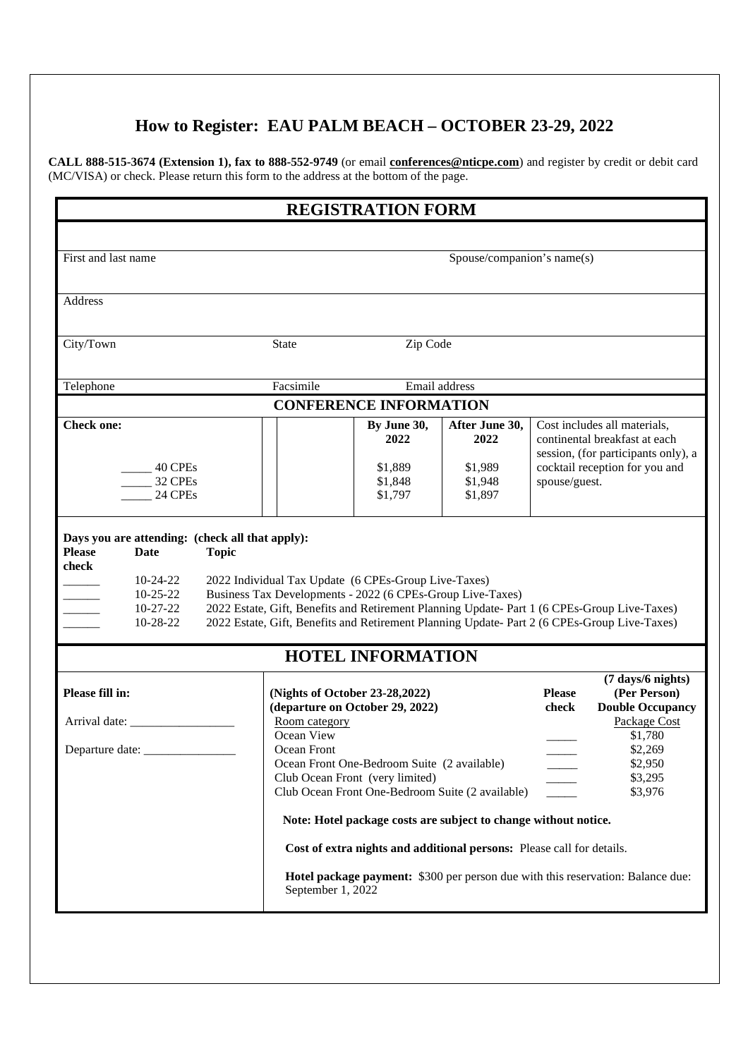## **How to Register: EAU PALM BEACH – OCTOBER 23-29, 2022**

**CALL 888-515-3674 (Extension 1), fax to 888-552-9749** (or email **conferences@nticpe.com**) and register by credit or debit card (MC/VISA) or check. Please return this form to the address at the bottom of the page.

|                                                             | <b>REGISTRATION FORM</b>                                                                                           |                               |                               |                                                                                                                                                         |                                                                                                                                                                                              |  |  |  |
|-------------------------------------------------------------|--------------------------------------------------------------------------------------------------------------------|-------------------------------|-------------------------------|---------------------------------------------------------------------------------------------------------------------------------------------------------|----------------------------------------------------------------------------------------------------------------------------------------------------------------------------------------------|--|--|--|
|                                                             |                                                                                                                    |                               |                               |                                                                                                                                                         |                                                                                                                                                                                              |  |  |  |
| First and last name                                         | Spouse/companion's name(s)                                                                                         |                               |                               |                                                                                                                                                         |                                                                                                                                                                                              |  |  |  |
| Address                                                     |                                                                                                                    |                               |                               |                                                                                                                                                         |                                                                                                                                                                                              |  |  |  |
| City/Town                                                   | <b>State</b>                                                                                                       | Zip Code                      |                               |                                                                                                                                                         |                                                                                                                                                                                              |  |  |  |
|                                                             |                                                                                                                    |                               |                               |                                                                                                                                                         |                                                                                                                                                                                              |  |  |  |
| Telephone                                                   | Facsimile                                                                                                          | Email address                 |                               |                                                                                                                                                         |                                                                                                                                                                                              |  |  |  |
|                                                             |                                                                                                                    | <b>CONFERENCE INFORMATION</b> |                               |                                                                                                                                                         |                                                                                                                                                                                              |  |  |  |
| <b>Check one:</b>                                           |                                                                                                                    | By June 30,<br>2022           | After June 30,<br>2022        | Cost includes all materials,<br>continental breakfast at each<br>session, (for participants only), a<br>cocktail reception for you and<br>spouse/guest. |                                                                                                                                                                                              |  |  |  |
| 40 CPEs<br>32 CPEs<br>24 CPEs                               |                                                                                                                    | \$1,889<br>\$1,848<br>\$1,797 | \$1,989<br>\$1,948<br>\$1,897 |                                                                                                                                                         |                                                                                                                                                                                              |  |  |  |
| check<br>$10-24-22$<br>$10-25-22$<br>$10-27-22$<br>10-28-22 | 2022 Individual Tax Update (6 CPEs-Group Live-Taxes)<br>Business Tax Developments - 2022 (6 CPEs-Group Live-Taxes) |                               |                               |                                                                                                                                                         | 2022 Estate, Gift, Benefits and Retirement Planning Update- Part 1 (6 CPEs-Group Live-Taxes)<br>2022 Estate, Gift, Benefits and Retirement Planning Update- Part 2 (6 CPEs-Group Live-Taxes) |  |  |  |
|                                                             | <b>HOTEL INFORMATION</b>                                                                                           |                               |                               |                                                                                                                                                         |                                                                                                                                                                                              |  |  |  |
|                                                             |                                                                                                                    |                               |                               |                                                                                                                                                         |                                                                                                                                                                                              |  |  |  |